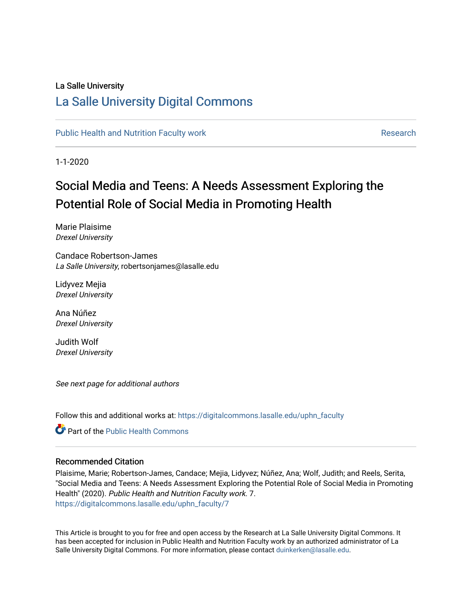## La Salle University

## [La Salle University Digital Commons](https://digitalcommons.lasalle.edu/)

[Public Health and Nutrition Faculty work](https://digitalcommons.lasalle.edu/uphn_faculty) **Research Research** Research

1-1-2020

# Social Media and Teens: A Needs Assessment Exploring the Potential Role of Social Media in Promoting Health

Marie Plaisime Drexel University

Candace Robertson-James La Salle University, robertsonjames@lasalle.edu

Lidyvez Mejia Drexel University

Ana Núñez Drexel University

Judith Wolf Drexel University

See next page for additional authors

Follow this and additional works at: [https://digitalcommons.lasalle.edu/uphn\\_faculty](https://digitalcommons.lasalle.edu/uphn_faculty?utm_source=digitalcommons.lasalle.edu%2Fuphn_faculty%2F7&utm_medium=PDF&utm_campaign=PDFCoverPages) 

**C** Part of the Public Health Commons

## Recommended Citation

Plaisime, Marie; Robertson-James, Candace; Mejia, Lidyvez; Núñez, Ana; Wolf, Judith; and Reels, Serita, "Social Media and Teens: A Needs Assessment Exploring the Potential Role of Social Media in Promoting Health" (2020). Public Health and Nutrition Faculty work. 7. [https://digitalcommons.lasalle.edu/uphn\\_faculty/7](https://digitalcommons.lasalle.edu/uphn_faculty/7?utm_source=digitalcommons.lasalle.edu%2Fuphn_faculty%2F7&utm_medium=PDF&utm_campaign=PDFCoverPages)

This Article is brought to you for free and open access by the Research at La Salle University Digital Commons. It has been accepted for inclusion in Public Health and Nutrition Faculty work by an authorized administrator of La Salle University Digital Commons. For more information, please contact [duinkerken@lasalle.edu](mailto:duinkerken@lasalle.edu).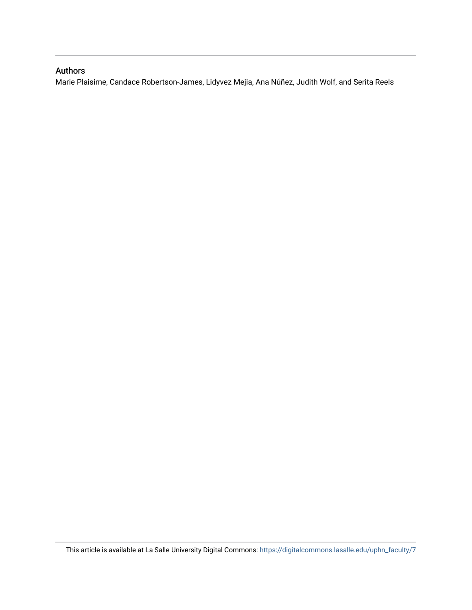## Authors

Marie Plaisime, Candace Robertson-James, Lidyvez Mejia, Ana Núñez, Judith Wolf, and Serita Reels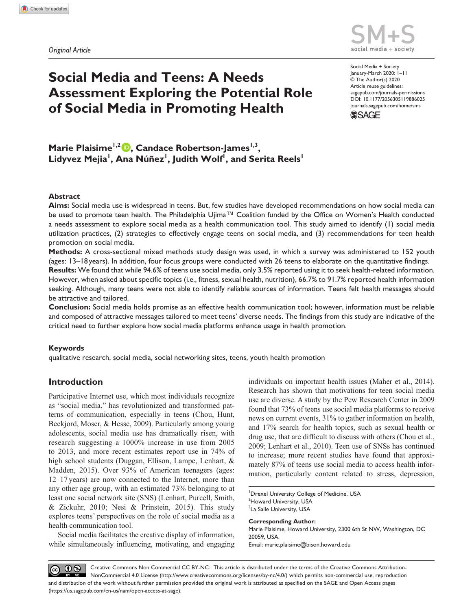*Original Article*



DOI: 10.1177/2056305119886025 Social Media + Society January-March 2020: 1–11 © The Author(s) 2020 Article reuse guidelines: [sagepub.com/journals-permissions](https://uk.sagepub.com/en-gb/journals-permissions) [journals.sagepub.com/home/sms](https://journals.sagepub.com/home/sms)



## **Social Media and Teens: A Needs Assessment Exploring the Potential Role of Social Media in Promoting Health**

**Marie Plaisime<sup>1,2</sup> D, Candace Robertson-James<sup>1,3</sup>,**  $\mathsf{L}$ idyvez Mejia $^{\mathsf{I}},$  Ana Núñez $^{\mathsf{I}},$  Judith Wolf $^{\mathsf{I}},$  and Serita Reels $^{\mathsf{I}}$ 

## **Abstract**

**Aims:** Social media use is widespread in teens. But, few studies have developed recommendations on how social media can be used to promote teen health. The Philadelphia Ujima™ Coalition funded by the Office on Women's Health conducted a needs assessment to explore social media as a health communication tool. This study aimed to identify (1) social media utilization practices, (2) strategies to effectively engage teens on social media, and (3) recommendations for teen health promotion on social media.

**Methods:** A cross-sectional mixed methods study design was used, in which a survey was administered to 152 youth (ages: 13–18years). In addition, four focus groups were conducted with 26 teens to elaborate on the quantitative findings.

**Results:** We found that while 94.6% of teens use social media, only 3.5% reported using it to seek health-related information. However, when asked about specific topics (i.e., fitness, sexual health, nutrition), 66.7% to 91.7% reported health information seeking. Although, many teens were not able to identify reliable sources of information. Teens felt health messages should be attractive and tailored.

**Conclusion:** Social media holds promise as an effective health communication tool; however, information must be reliable and composed of attractive messages tailored to meet teens' diverse needs. The findings from this study are indicative of the critical need to further explore how social media platforms enhance usage in health promotion.

#### **Keywords**

qualitative research, social media, social networking sites, teens, youth health promotion

## **Introduction**

Participative Internet use, which most individuals recognize as "social media," has revolutionized and transformed patterns of communication, especially in teens (Chou, Hunt, Beckjord, Moser, & Hesse, 2009). Particularly among young adolescents, social media use has dramatically risen, with research suggesting a 1000% increase in use from 2005 to 2013, and more recent estimates report use in 74% of high school students (Duggan, Ellison, Lampe, Lenhart, & Madden, 2015). Over 93% of American teenagers (ages: 12–17years) are now connected to the Internet, more than any other age group, with an estimated 73% belonging to at least one social network site (SNS) (Lenhart, Purcell, Smith, & Zickuhr, 2010; Nesi & Prinstein, 2015). This study explores teens' perspectives on the role of social media as a health communication tool.

Social media facilitates the creative display of information, while simultaneously influencing, motivating, and engaging individuals on important health issues (Maher et al., 2014). Research has shown that motivations for teen social media use are diverse. A study by the Pew Research Center in 2009 found that 73% of teens use social media platforms to receive news on current events, 31% to gather information on health, and 17% search for health topics, such as sexual health or drug use, that are difficult to discuss with others (Chou et al., 2009; Lenhart et al., 2010). Teen use of SNSs has continued to increase; more recent studies have found that approximately 87% of teens use social media to access health information, particularly content related to stress, depression,

<sup>1</sup>Drexel University College of Medicine, USA <sup>2</sup>Howard University, USA <sup>3</sup>La Salle University, USA

**Corresponding Author:** Marie Plaisime, Howard University, 2300 6th St NW, Washington, DC 20059, USA. Email: [marie.plaisime@bison.howard.edu](mailto:marie.plaisime@bison.howard.edu)

 $\circledcirc$   $\circledcirc$ Creative Commons Non Commercial CC BY-NC: This article is distributed under the terms of the Creative Commons Attribution-NonCommercial 4.0 License (http://www.creativecommons.org/licenses/by-nc/4.0/) which permits non-commercial use, reproduction and distribution of the work without further permission provided the original work is attributed as specified on the SAGE and Open Access pages (https://us.sagepub.com/en-us/nam/open-access-at-sage).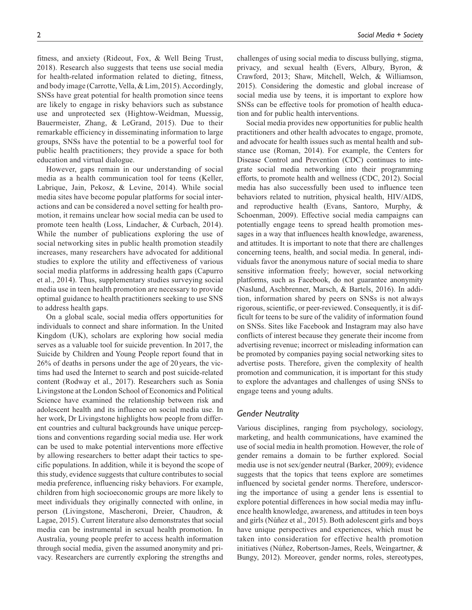fitness, and anxiety (Rideout, Fox, & Well Being Trust, 2018). Research also suggests that teens use social media for health-related information related to dieting, fitness, and body image (Carrotte, Vella, & Lim, 2015). Accordingly, SNSs have great potential for health promotion since teens are likely to engage in risky behaviors such as substance use and unprotected sex (Hightow-Weidman, Muessig, Bauermeister, Zhang, & LeGrand, 2015). Due to their remarkable efficiency in disseminating information to large groups, SNSs have the potential to be a powerful tool for public health practitioners; they provide a space for both education and virtual dialogue.

However, gaps remain in our understanding of social media as a health communication tool for teens (Keller, Labrique, Jain, Pekosz, & Levine, 2014). While social media sites have become popular platforms for social interactions and can be considered a novel setting for health promotion, it remains unclear how social media can be used to promote teen health (Loss, Lindacher, & Curbach, 2014). While the number of publications exploring the use of social networking sites in public health promotion steadily increases, many researchers have advocated for additional studies to explore the utility and effectiveness of various social media platforms in addressing health gaps (Capurro et al., 2014). Thus, supplementary studies surveying social media use in teen health promotion are necessary to provide optimal guidance to health practitioners seeking to use SNS to address health gaps.

On a global scale, social media offers opportunities for individuals to connect and share information. In the United Kingdom (UK), scholars are exploring how social media serves as a valuable tool for suicide prevention. In 2017, the Suicide by Children and Young People report found that in 26% of deaths in persons under the age of 20 years, the victims had used the Internet to search and post suicide-related content (Rodway et al., 2017). Researchers such as Sonia Livingstone at the London School of Economics and Political Science have examined the relationship between risk and adolescent health and its influence on social media use. In her work, Dr Livingstone highlights how people from different countries and cultural backgrounds have unique perceptions and conventions regarding social media use. Her work can be used to make potential interventions more effective by allowing researchers to better adapt their tactics to specific populations. In addition, while it is beyond the scope of this study, evidence suggests that culture contributes to social media preference, influencing risky behaviors. For example, children from high socioeconomic groups are more likely to meet individuals they originally connected with online, in person (Livingstone, Mascheroni, Dreier, Chaudron, & Lagae, 2015). Current literature also demonstrates that social media can be instrumental in sexual health promotion. In Australia, young people prefer to access health information through social media, given the assumed anonymity and privacy. Researchers are currently exploring the strengths and

challenges of using social media to discuss bullying, stigma, privacy, and sexual health (Evers, Albury, Byron, & Crawford, 2013; Shaw, Mitchell, Welch, & Williamson, 2015). Considering the domestic and global increase of social media use by teens, it is important to explore how SNSs can be effective tools for promotion of health education and for public health interventions.

Social media provides new opportunities for public health practitioners and other health advocates to engage, promote, and advocate for health issues such as mental health and substance use (Roman, 2014). For example, the Centers for Disease Control and Prevention (CDC) continues to integrate social media networking into their programming efforts, to promote health and wellness (CDC, 2012). Social media has also successfully been used to influence teen behaviors related to nutrition, physical health, HIV/AIDS, and reproductive health (Evans, Santoro, Murphy, & Schoenman, 2009). Effective social media campaigns can potentially engage teens to spread health promotion messages in a way that influences health knowledge, awareness, and attitudes. It is important to note that there are challenges concerning teens, health, and social media. In general, individuals favor the anonymous nature of social media to share sensitive information freely; however, social networking platforms, such as Facebook, do not guarantee anonymity (Naslund, Aschbrenner, Marsch, & Bartels, 2016). In addition, information shared by peers on SNSs is not always rigorous, scientific, or peer-reviewed. Consequently, it is difficult for teens to be sure of the validity of information found on SNSs. Sites like Facebook and Instagram may also have conflicts of interest because they generate their income from advertising revenue; incorrect or misleading information can be promoted by companies paying social networking sites to advertise posts. Therefore, given the complexity of health promotion and communication, it is important for this study to explore the advantages and challenges of using SNSs to engage teens and young adults.

#### *Gender Neutrality*

Various disciplines, ranging from psychology, sociology, marketing, and health communications, have examined the use of social media in health promotion. However, the role of gender remains a domain to be further explored. Social media use is not sex/gender neutral (Barker, 2009); evidence suggests that the topics that teens explore are sometimes influenced by societal gender norms. Therefore, underscoring the importance of using a gender lens is essential to explore potential differences in how social media may influence health knowledge, awareness, and attitudes in teen boys and girls (Núñez et al., 2015). Both adolescent girls and boys have unique perspectives and experiences, which must be taken into consideration for effective health promotion initiatives (Núñez, Robertson-James, Reels, Weingartner, & Bungy, 2012). Moreover, gender norms, roles, stereotypes,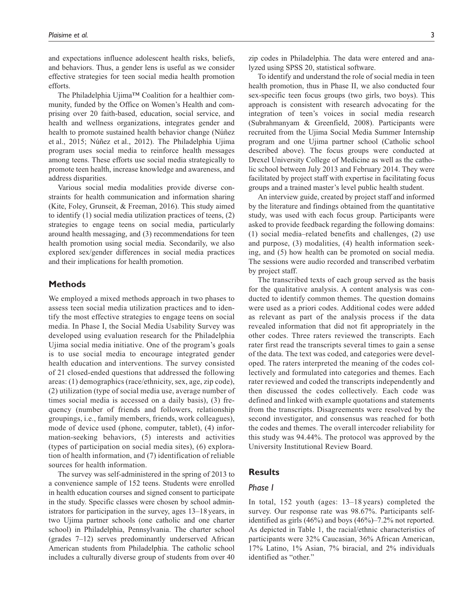and expectations influence adolescent health risks, beliefs, and behaviors. Thus, a gender lens is useful as we consider effective strategies for teen social media health promotion efforts.

The Philadelphia Ujima™ Coalition for a healthier community, funded by the Office on Women's Health and comprising over 20 faith-based, education, social service, and health and wellness organizations, integrates gender and health to promote sustained health behavior change (Núñez et al., 2015; Núñez et al., 2012). The Philadelphia Ujima program uses social media to reinforce health messages among teens. These efforts use social media strategically to promote teen health, increase knowledge and awareness, and address disparities.

Various social media modalities provide diverse constraints for health communication and information sharing (Kite, Foley, Grunseit, & Freeman, 2016). This study aimed to identify (1) social media utilization practices of teens, (2) strategies to engage teens on social media, particularly around health messaging, and (3) recommendations for teen health promotion using social media. Secondarily, we also explored sex/gender differences in social media practices and their implications for health promotion.

## **Methods**

We employed a mixed methods approach in two phases to assess teen social media utilization practices and to identify the most effective strategies to engage teens on social media. In Phase I, the Social Media Usability Survey was developed using evaluation research for the Philadelphia Ujima social media initiative. One of the program's goals is to use social media to encourage integrated gender health education and interventions. The survey consisted of 21 closed-ended questions that addressed the following areas: (1) demographics (race/ethnicity, sex, age, zip code), (2) utilization (type of social media use, average number of times social media is accessed on a daily basis), (3) frequency (number of friends and followers, relationship groupings, i.e., family members, friends, work colleagues), mode of device used (phone, computer, tablet), (4) information-seeking behaviors, (5) interests and activities (types of participation on social media sites), (6) exploration of health information, and (7) identification of reliable sources for health information.

The survey was self-administered in the spring of 2013 to a convenience sample of 152 teens. Students were enrolled in health education courses and signed consent to participate in the study. Specific classes were chosen by school administrators for participation in the survey, ages 13–18 years, in two Ujima partner schools (one catholic and one charter school) in Philadelphia, Pennsylvania. The charter school (grades 7–12) serves predominantly underserved African American students from Philadelphia. The catholic school includes a culturally diverse group of students from over 40

To identify and understand the role of social media in teen health promotion, thus in Phase II, we also conducted four sex-specific teen focus groups (two girls, two boys). This approach is consistent with research advocating for the integration of teen's voices in social media research (Subrahmanyam & Greenfield, 2008). Participants were recruited from the Ujima Social Media Summer Internship program and one Ujima partner school (Catholic school described above). The focus groups were conducted at Drexel University College of Medicine as well as the catholic school between July 2013 and February 2014. They were facilitated by project staff with expertise in facilitating focus groups and a trained master's level public health student.

An interview guide, created by project staff and informed by the literature and findings obtained from the quantitative study, was used with each focus group. Participants were asked to provide feedback regarding the following domains: (1) social media–related benefits and challenges, (2) use and purpose, (3) modalities, (4) health information seeking, and (5) how health can be promoted on social media. The sessions were audio recorded and transcribed verbatim by project staff.

The transcribed texts of each group served as the basis for the qualitative analysis. A content analysis was conducted to identify common themes. The question domains were used as a priori codes. Additional codes were added as relevant as part of the analysis process if the data revealed information that did not fit appropriately in the other codes. Three raters reviewed the transcripts. Each rater first read the transcripts several times to gain a sense of the data. The text was coded, and categories were developed. The raters interpreted the meaning of the codes collectively and formulated into categories and themes. Each rater reviewed and coded the transcripts independently and then discussed the codes collectively. Each code was defined and linked with example quotations and statements from the transcripts. Disagreements were resolved by the second investigator, and consensus was reached for both the codes and themes. The overall intercoder reliability for this study was 94.44%. The protocol was approved by the University Institutional Review Board.

## **Results**

### *Phase I*

In total, 152 youth (ages: 13–18 years) completed the survey. Our response rate was 98.67%. Participants selfidentified as girls (46%) and boys (46%)–7.2% not reported. As depicted in Table 1, the racial/ethnic characteristics of participants were 32% Caucasian, 36% African American, 17% Latino, 1% Asian, 7% biracial, and 2% individuals identified as "other."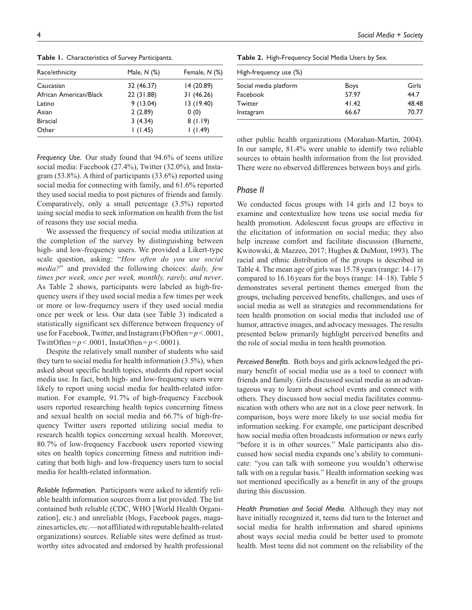Race/ethnicity Male, *N* (%) Female, *N* (%) Caucasian 32 (46.37) 14 (20.89) African American/Black 22 (31.88) 31 (46.26) Latino 9 (13.04) 13 (19.40) Asian 2 (2.89) 0 (0) Biracial 3 (4.34) 8 (1.19) Other 1 (1.45) 1 (1.49)

**Table 1.** Characteristics of Survey Participants.

*Frequency Use.* Our study found that 94.6% of teens utilize social media: Facebook (27.4%), Twitter (32.0%), and Instagram (53.8%). A third of participants (33.6%) reported using social media for connecting with family, and 61.6% reported they used social media to post pictures of friends and family. Comparatively, only a small percentage (3.5%) reported using social media to seek information on health from the list of reasons they use social media.

We assessed the frequency of social media utilization at the completion of the survey by distinguishing between high- and low-frequency users. We provided a Likert-type scale question, asking: "*How often do you use social media?*" and provided the following choices: *daily, few times per week, once per week, monthly, rarely, and never*. As Table 2 shows, participants were labeled as high-frequency users if they used social media a few times per week or more or low-frequency users if they used social media once per week or less. Our data (see Table 3) indicated a statistically significant sex difference between frequency of use for Facebook, Twitter, and Instagram (FbOften=*p*<.0001, TwittOften= $p < .0001$ , InstaOften= $p < .0001$ ).

Despite the relatively small number of students who said they turn to social media for health information (3.5%), when asked about specific health topics, students did report social media use. In fact, both high- and low-frequency users were likely to report using social media for health-related information. For example, 91.7% of high-frequency Facebook users reported researching health topics concerning fitness and sexual health on social media and 66.7% of high-frequency Twitter users reported utilizing social media to research health topics concerning sexual health. Moreover, 80.7% of low-frequency Facebook users reported viewing sites on health topics concerning fitness and nutrition indicating that both high- and low-frequency users turn to social media for health-related information.

*Reliable Information.* Participants were asked to identify reliable health information sources from a list provided. The list contained both reliable (CDC, WHO [World Health Organization], etc.) and unreliable (blogs, Facebook pages, magazines articles, etc.—not affiliated with reputable health-related organizations) sources. Reliable sites were defined as trustworthy sites advocated and endorsed by health professional

**Table 2.** High-Frequency Social Media Users by Sex.

| High-frequency use (%) |       |  |  |  |  |
|------------------------|-------|--|--|--|--|
| <b>Boys</b>            | Girls |  |  |  |  |
| 57.97                  | 44.7  |  |  |  |  |
| 41.42                  | 48.48 |  |  |  |  |
| 66.67                  | 70.77 |  |  |  |  |
|                        |       |  |  |  |  |

other public health organizations (Morahan-Martin, 2004). In our sample, 81.4% were unable to identify two reliable sources to obtain health information from the list provided. There were no observed differences between boys and girls.

## *Phase II*

We conducted focus groups with 14 girls and 12 boys to examine and contextualize how teens use social media for health promotion. Adolescent focus groups are effective in the elicitation of information on social media; they also help increase comfort and facilitate discussion (Burnette, Kwitowski, & Mazzeo, 2017; Hughes & DuMont, 1993). The racial and ethnic distribution of the groups is described in Table 4. The mean age of girls was 15.78years (range: 14–17) compared to 16.16years for the boys (range: 14–18). Table 5 demonstrates several pertinent themes emerged from the groups, including perceived benefits, challenges, and uses of social media as well as strategies and recommendations for teen health promotion on social media that included use of humor, attractive images, and advocacy messages. The results presented below primarily highlight perceived benefits and the role of social media in teen health promotion.

*Perceived Benefits.* Both boys and girls acknowledged the primary benefit of social media use as a tool to connect with friends and family. Girls discussed social media as an advantageous way to learn about school events and connect with others. They discussed how social media facilitates communication with others who are not in a close peer network. In comparison, boys were more likely to use social media for information seeking. For example, one participant described how social media often broadcasts information or news early "before it is in other sources." Male participants also discussed how social media expands one's ability to communicate: "you can talk with someone you wouldn't otherwise talk with on a regular basis." Health information seeking was not mentioned specifically as a benefit in any of the groups during this discussion.

*Health Promotion and Social Media.* Although they may not have initially recognized it, teens did turn to the Internet and social media for health information and shared opinions about ways social media could be better used to promote health. Most teens did not comment on the reliability of the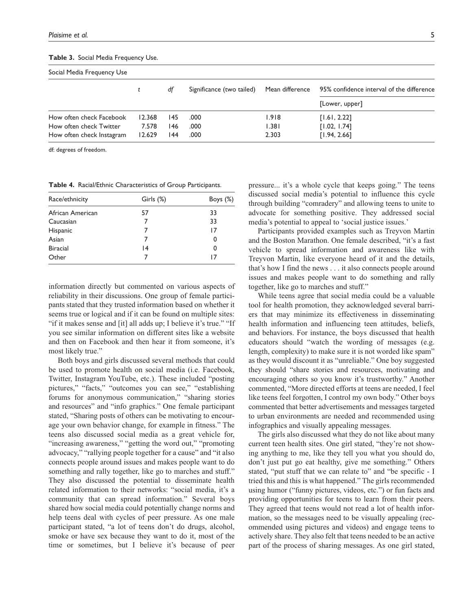#### **Table 3.** Social Media Frequency Use.

| Social Media Frequency Use |        |     |                           |                 |                                           |  |
|----------------------------|--------|-----|---------------------------|-----------------|-------------------------------------------|--|
|                            |        | df  | Significance (two tailed) | Mean difference | 95% confidence interval of the difference |  |
|                            |        |     |                           |                 | [Lower, upper]                            |  |
| How often check Facebook   | 12.368 | 145 | .000                      | 1.918           | [1.61, 2.22]                              |  |
| How often check Twitter    | 7.578  | 146 | .000                      | 1.381           | [1.02, 1.74]                              |  |
| How often check Instagram  | 12.629 | 144 | .000                      | 2.303           | [1.94, 2.66]                              |  |

df: degrees of freedom.

**Table 4.** Racial/Ethnic Characteristics of Group Participants.

| Race/ethnicity   | Girls (%) | Boys (%) |
|------------------|-----------|----------|
| African American | 57        | 33       |
| Caucasian        |           | 33       |
| Hispanic         |           | 17       |
| Asian            |           | 0        |
| <b>Biracial</b>  | 14        | 0        |
| Other            |           | 17       |

information directly but commented on various aspects of reliability in their discussions. One group of female participants stated that they trusted information based on whether it seems true or logical and if it can be found on multiple sites: "if it makes sense and [it] all adds up; I believe it's true." "If you see similar information on different sites like a website and then on Facebook and then hear it from someone, it's most likely true."

Both boys and girls discussed several methods that could be used to promote health on social media (i.e. Facebook, Twitter, Instagram YouTube, etc.). These included "posting pictures," "facts," "outcomes you can see," "establishing forums for anonymous communication," "sharing stories and resources" and "info graphics." One female participant stated, "Sharing posts of others can be motivating to encourage your own behavior change, for example in fitness." The teens also discussed social media as a great vehicle for, "increasing awareness," "getting the word out," "promoting advocacy," "rallying people together for a cause" and "it also connects people around issues and makes people want to do something and rally together, like go to marches and stuff." They also discussed the potential to disseminate health related information to their networks: "social media, it's a community that can spread information." Several boys shared how social media could potentially change norms and help teens deal with cycles of peer pressure. As one male participant stated, "a lot of teens don't do drugs, alcohol, smoke or have sex because they want to do it, most of the time or sometimes, but I believe it's because of peer

pressure... it's a whole cycle that keeps going." The teens discussed social media's potential to influence this cycle through building "comradery" and allowing teens to unite to advocate for something positive. They addressed social media's potential to appeal to 'social justice issues.'

Participants provided examples such as Treyvon Martin and the Boston Marathon. One female described, "it's a fast vehicle to spread information and awareness like with Treyvon Martin, like everyone heard of it and the details, that's how I find the news . . . it also connects people around issues and makes people want to do something and rally together, like go to marches and stuff."

While teens agree that social media could be a valuable tool for health promotion, they acknowledged several barriers that may minimize its effectiveness in disseminating health information and influencing teen attitudes, beliefs, and behaviors. For instance, the boys discussed that health educators should "watch the wording of messages (e.g. length, complexity) to make sure it is not worded like spam" as they would discount it as "unreliable." One boy suggested they should "share stories and resources, motivating and encouraging others so you know it's trustworthy." Another commented, "More directed efforts at teens are needed, I feel like teens feel forgotten, I control my own body." Other boys commented that better advertisements and messages targeted to urban environments are needed and recommended using infographics and visually appealing messages.

The girls also discussed what they do not like about many current teen health sites. One girl stated, "they're not showing anything to me, like they tell you what you should do, don't just put go eat healthy, give me something." Others stated, "put stuff that we can relate to" and "be specific - I tried this and this is what happened." The girls recommended using humor ("funny pictures, videos, etc.") or fun facts and providing opportunities for teens to learn from their peers. They agreed that teens would not read a lot of health information, so the messages need to be visually appealing (recommended using pictures and videos) and engage teens to actively share. They also felt that teens needed to be an active part of the process of sharing messages. As one girl stated,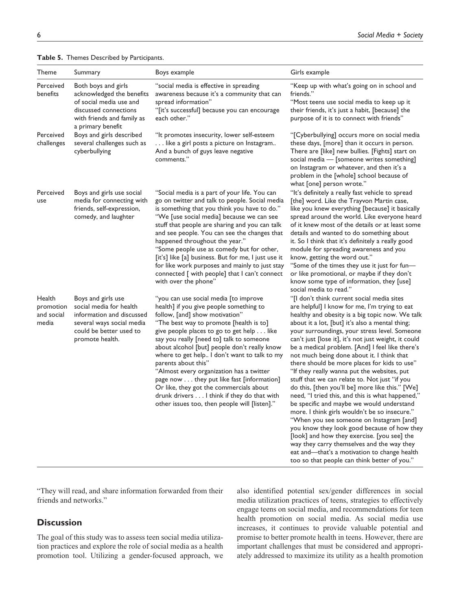| Theme                                      | Summary                                                                                                                                                 | Boys example                                                                                                                                                                                                                                                                                                                                                                                                                                                                                                                                                                                                     | Girls example                                                                                                                                                                                                                                                                                                                                                                                                                                                                                                                                                                                                                                                                                                                                                                                                                                                                                                                                                                                                                                            |
|--------------------------------------------|---------------------------------------------------------------------------------------------------------------------------------------------------------|------------------------------------------------------------------------------------------------------------------------------------------------------------------------------------------------------------------------------------------------------------------------------------------------------------------------------------------------------------------------------------------------------------------------------------------------------------------------------------------------------------------------------------------------------------------------------------------------------------------|----------------------------------------------------------------------------------------------------------------------------------------------------------------------------------------------------------------------------------------------------------------------------------------------------------------------------------------------------------------------------------------------------------------------------------------------------------------------------------------------------------------------------------------------------------------------------------------------------------------------------------------------------------------------------------------------------------------------------------------------------------------------------------------------------------------------------------------------------------------------------------------------------------------------------------------------------------------------------------------------------------------------------------------------------------|
| Perceived<br>benefits                      | Both boys and girls<br>acknowledged the benefits<br>of social media use and<br>discussed connections<br>with friends and family as<br>a primary benefit | "social media is effective in spreading<br>awareness because it's a community that can<br>spread information"<br>"[it's successful] because you can encourage<br>each other."                                                                                                                                                                                                                                                                                                                                                                                                                                    | "Keep up with what's going on in school and<br>friends."<br>"Most teens use social media to keep up it<br>their friends, it's just a habit, [because] the<br>purpose of it is to connect with friends"                                                                                                                                                                                                                                                                                                                                                                                                                                                                                                                                                                                                                                                                                                                                                                                                                                                   |
| Perceived<br>challenges                    | Boys and girls described<br>several challenges such as<br>cyberbullying                                                                                 | "It promotes insecurity, lower self-esteem<br>like a girl posts a picture on Instagram<br>And a bunch of guys leave negative<br>comments."                                                                                                                                                                                                                                                                                                                                                                                                                                                                       | "[Cyberbullying] occurs more on social media<br>these days, [more] than it occurs in person.<br>There are [like] new bullies. [Fights] start on<br>social media - [someone writes something]<br>on Instagram or whatever, and then it's a<br>problem in the [whole] school because of<br>what [one] person wrote."                                                                                                                                                                                                                                                                                                                                                                                                                                                                                                                                                                                                                                                                                                                                       |
| Perceived<br>use                           | Boys and girls use social<br>media for connecting with<br>friends, self-expression,<br>comedy, and laughter                                             | "Social media is a part of your life. You can<br>go on twitter and talk to people. Social media<br>is something that you think you have to do."<br>"We [use social media] because we can see<br>stuff that people are sharing and you can talk<br>and see people. You can see the changes that<br>happened throughout the year."<br>"Some people use as comedy but for other,<br>[it's] like [a] business. But for me, I just use it<br>for like work purposes and mainly to just stay<br>connected [ with people] that I can't connect<br>with over the phone"                                                  | "It's definitely a really fast vehicle to spread<br>[the] word. Like the Trayvon Martin case,<br>like you knew everything [because] it basically<br>spread around the world. Like everyone heard<br>of it knew most of the details or at least some<br>details and wanted to do something about<br>it. So I think that it's definitely a really good<br>module for spreading awareness and you<br>know, getting the word out."<br>"Some of the times they use it just for fun-<br>or like promotional, or maybe if they don't<br>know some type of information, they [use]<br>social media to read."                                                                                                                                                                                                                                                                                                                                                                                                                                                     |
| Health<br>promotion<br>and social<br>media | Boys and girls use<br>social media for health<br>information and discussed<br>several ways social media<br>could be better used to<br>promote health.   | "you can use social media [to improve<br>health] if you give people something to<br>follow, [and] show motivation"<br>"The best way to promote [health is to]<br>give people places to go to get help like<br>say you really [need to] talk to someone<br>about alcohol [but] people don't really know<br>where to get help I don't want to talk to my<br>parents about this"<br>"Almost every organization has a twitter<br>page now they put like fast [information]<br>Or like, they got the commercials about<br>drunk drivers I think if they do that with<br>other issues too, then people will [listen]." | "[I don't think current social media sites<br>are helpful] I know for me, I'm trying to eat<br>healthy and obesity is a big topic now. We talk<br>about it a lot, [but] it's also a mental thing;<br>your surroundings, your stress level. Someone<br>can't just [lose it], it's not just weight, it could<br>be a medical problem. [And] I feel like there's<br>not much being done about it. I think that<br>there should be more places for kids to use"<br>"If they really wanna put the websites, put<br>stuff that we can relate to. Not just "if you<br>do this, [then you'll be] more like this." [We]<br>need, "I tried this, and this is what happened,"<br>be specific and maybe we would understand<br>more. I think girls wouldn't be so insecure."<br>"When you see someone on Instagram [and]<br>you know they look good because of how they<br>[look] and how they exercise. [you see] the<br>way they carry themselves and the way they<br>eat and-that's a motivation to change health<br>too so that people can think better of you." |

**Table 5.** Themes Described by Participants.

"They will read, and share information forwarded from their friends and networks."

## **Discussion**

The goal of this study was to assess teen social media utilization practices and explore the role of social media as a health promotion tool. Utilizing a gender-focused approach, we also identified potential sex/gender differences in social media utilization practices of teens, strategies to effectively engage teens on social media, and recommendations for teen health promotion on social media. As social media use increases, it continues to provide valuable potential and promise to better promote health in teens. However, there are important challenges that must be considered and appropriately addressed to maximize its utility as a health promotion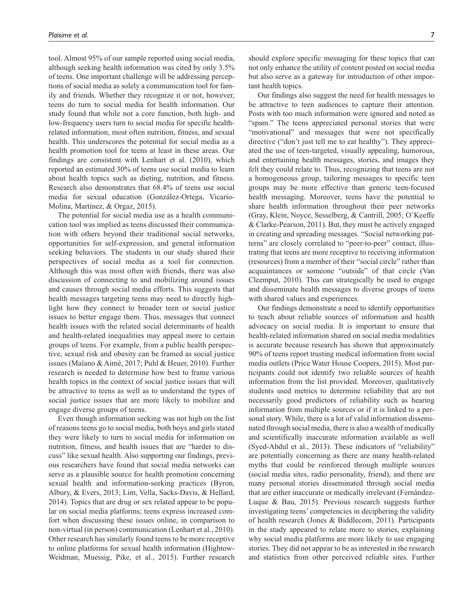tool. Almost 95% of our sample reported using social media, although seeking health information was cited by only 3.5% of teens. One important challenge will be addressing perceptions of social media as solely a communication tool for family and friends. Whether they recognize it or not, however, teens do turn to social media for health information. Our study found that while not a core function, both high- and low-frequency users turn to social media for specific healthrelated information, most often nutrition, fitness, and sexual health. This underscores the potential for social media as a health promotion tool for teens at least in these areas. Our findings are consistent with Lenhart et al. (2010), which reported an estimated 30% of teens use social media to learn about health topics such as dieting, nutrition, and fitness. Research also demonstrates that 68.4% of teens use social media for sexual education (González-Ortega, Vicario-Molina, Martínez, & Orgaz, 2015).

The potential for social media use as a health communication tool was implied as teens discussed their communication with others beyond their traditional social networks, opportunities for self-expression, and general information seeking behaviors. The students in our study shared their perspectives of social media as a tool for connection. Although this was most often with friends, there was also discussion of connecting to and mobilizing around issues and causes through social media efforts. This suggests that health messages targeting teens may need to directly highlight how they connect to broader teen or social justice issues to better engage them. Thus, messages that connect health issues with the related social determinants of health and health-related inequalities may appeal more to certain groups of teens. For example, from a public health perspective, sexual risk and obesity can be framed as social justice issues (Maïano & Aimé, 2017; Puhl & Heuer, 2010). Further research is needed to determine how best to frame various health topics in the context of social justice issues that will be attractive to teens as well as to understand the types of social justice issues that are more likely to mobilize and engage diverse groups of teens.

Even though information seeking was not high on the list of reasons teens go to social media, both boys and girls stated they were likely to turn to social media for information on nutrition, fitness, and health issues that are "harder to discuss" like sexual health. Also supporting our findings, previous researchers have found that social media networks can serve as a plausible source for health promotion concerning sexual health and information-seeking practices (Byron, Albury, & Evers, 2013; Lim, Vella, Sacks-Davis, & Hellard, 2014). Topics that are drug or sex related appear to be popular on social media platforms; teens express increased comfort when discussing these issues online, in comparison to non-virtual (in person) communication (Lenhart et al., 2010). Other research has similarly found teens to be more receptive to online platforms for sexual health information (Hightow-Weidman, Muessig, Pike, et al., 2015). Further research should explore specific messaging for these topics that can not only enhance the utility of content posted on social media but also serve as a gateway for introduction of other important health topics.

Our findings also suggest the need for health messages to be attractive to teen audiences to capture their attention. Posts with too much information were ignored and noted as "spam." The teens appreciated personal stories that were "motivational" and messages that were not specifically directive ("don't just tell me to eat healthy"). They appreciated the use of teen-targeted, visually appealing, humorous, and entertaining health messages, stories, and images they felt they could relate to. Thus, recognizing that teens are not a homogeneous group, tailoring messages to specific teen groups may be more effective than generic teen-focused health messaging. Moreover, teens have the potential to share health information throughout their peer networks (Gray, Klein, Noyce, Sesselberg, & Cantrill, 2005; O'Keeffe & Clarke-Pearson, 2011). But, they must be actively engaged in creating and spreading messages. "Social networking patterns" are closely correlated to "peer-to-peer" contact, illustrating that teens are more receptive to receiving information (resources) from a member of their "social circle" rather than acquaintances or someone "outside" of that circle (Van Cleemput, 2010). This can strategically be used to engage and disseminate health messages to diverse groups of teens with shared values and experiences.

Our findings demonstrate a need to identify opportunities to teach about reliable sources of information and health advocacy on social media. It is important to ensure that health-related information shared on social media modalities is accurate because research has shown that approximately 90% of teens report trusting medical information from social media outlets (Price Water House Coopers, 2015). Most participants could not identify two reliable sources of health information from the list provided. Moreover, qualitatively students used metrics to determine reliability that are not necessarily good predictors of reliability such as hearing information from multiple sources or if it is linked to a personal story. While, there is a lot of valid information disseminated through social media, there is also a wealth of medically and scientifically inaccurate information available as well (Syed-Abdul et al., 2013). These indicators of "reliability" are potentially concerning as there are many health-related myths that could be reinforced through multiple sources (social media sites, radio personality, friend), and there are many personal stories disseminated through social media that are either inaccurate or medically irrelevant (Fernández-Luque & Bau, 2015). Previous research suggests further investigating teens' competencies in deciphering the validity of health research (Jones & Biddlecom, 2011). Participants in the study appeared to relate more to stories, explaining why social media platforms are more likely to use engaging stories. They did not appear to be as interested in the research and statistics from other perceived reliable sites. Further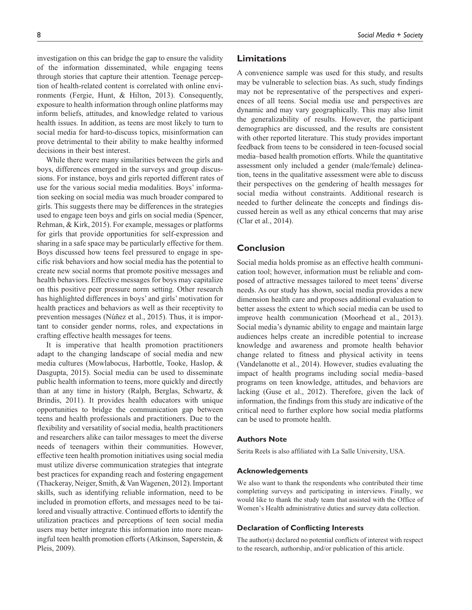investigation on this can bridge the gap to ensure the validity of the information disseminated, while engaging teens through stories that capture their attention. Teenage perception of health-related content is correlated with online environments (Fergie, Hunt, & Hilton, 2013). Consequently, exposure to health information through online platforms may inform beliefs, attitudes, and knowledge related to various health issues. In addition, as teens are most likely to turn to social media for hard-to-discuss topics, misinformation can prove detrimental to their ability to make healthy informed decisions in their best interest.

While there were many similarities between the girls and boys, differences emerged in the surveys and group discussions. For instance, boys and girls reported different rates of use for the various social media modalities. Boys' information seeking on social media was much broader compared to girls. This suggests there may be differences in the strategies used to engage teen boys and girls on social media (Spencer, Rehman, & Kirk, 2015). For example, messages or platforms for girls that provide opportunities for self-expression and sharing in a safe space may be particularly effective for them. Boys discussed how teens feel pressured to engage in specific risk behaviors and how social media has the potential to create new social norms that promote positive messages and health behaviors. Effective messages for boys may capitalize on this positive peer pressure norm setting. Other research has highlighted differences in boys' and girls' motivation for health practices and behaviors as well as their receptivity to prevention messages (Núñez et al., 2015). Thus, it is important to consider gender norms, roles, and expectations in crafting effective health messages for teens.

It is imperative that health promotion practitioners adapt to the changing landscape of social media and new media cultures (Mowlabocus, Harbottle, Tooke, Haslop, & Dasgupta, 2015). Social media can be used to disseminate public health information to teens, more quickly and directly than at any time in history (Ralph, Berglas, Schwartz, & Brindis, 2011). It provides health educators with unique opportunities to bridge the communication gap between teens and health professionals and practitioners. Due to the flexibility and versatility of social media, health practitioners and researchers alike can tailor messages to meet the diverse needs of teenagers within their communities. However, effective teen health promotion initiatives using social media must utilize diverse communication strategies that integrate best practices for expanding reach and fostering engagement (Thackeray, Neiger, Smith, & Van Wagenen, 2012). Important skills, such as identifying reliable information, need to be included in promotion efforts, and messages need to be tailored and visually attractive. Continued efforts to identify the utilization practices and perceptions of teen social media users may better integrate this information into more meaningful teen health promotion efforts (Atkinson, Saperstein, & Pleis, 2009).

## **Limitations**

A convenience sample was used for this study, and results may be vulnerable to selection bias. As such, study findings may not be representative of the perspectives and experiences of all teens. Social media use and perspectives are dynamic and may vary geographically. This may also limit the generalizability of results. However, the participant demographics are discussed, and the results are consistent with other reported literature. This study provides important feedback from teens to be considered in teen-focused social media–based health promotion efforts. While the quantitative assessment only included a gender (male/female) delineation, teens in the qualitative assessment were able to discuss their perspectives on the gendering of health messages for social media without constraints. Additional research is needed to further delineate the concepts and findings discussed herein as well as any ethical concerns that may arise (Clar et al., 2014).

## **Conclusion**

Social media holds promise as an effective health communication tool; however, information must be reliable and composed of attractive messages tailored to meet teens' diverse needs. As our study has shown, social media provides a new dimension health care and proposes additional evaluation to better assess the extent to which social media can be used to improve health communication (Moorhead et al., 2013). Social media's dynamic ability to engage and maintain large audiences helps create an incredible potential to increase knowledge and awareness and promote health behavior change related to fitness and physical activity in teens (Vandelanotte et al., 2014). However, studies evaluating the impact of health programs including social media–based programs on teen knowledge, attitudes, and behaviors are lacking (Guse et al., 2012). Therefore, given the lack of information, the findings from this study are indicative of the critical need to further explore how social media platforms can be used to promote health.

#### **Authors Note**

Serita Reels is also affiliated with La Salle University, USA.

#### **Acknowledgements**

We also want to thank the respondents who contributed their time completing surveys and participating in interviews. Finally, we would like to thank the study team that assisted with the Office of Women's Health administrative duties and survey data collection.

#### **Declaration of Conflicting Interests**

The author(s) declared no potential conflicts of interest with respect to the research, authorship, and/or publication of this article.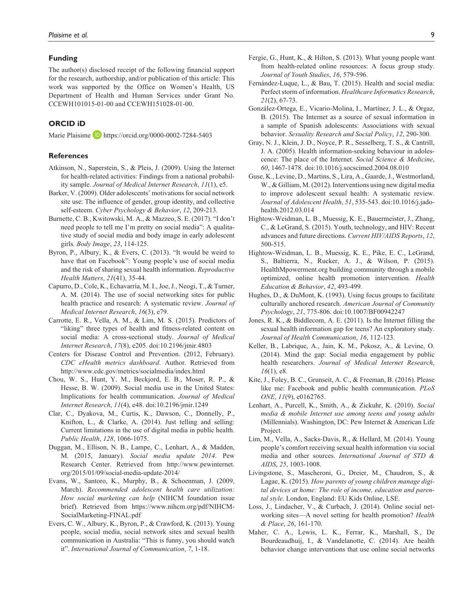#### **Funding**

The author(s) disclosed receipt of the following financial support for the research, authorship, and/or publication of this article: This work was supported by the Office on Women's Health, US Department of Health and Human Services under Grant No. CCEWH101015-01-00 and CCEWH151028-01-00.

#### **ORCID iD**

Marie Plaisime **D** <https://orcid.org/0000-0002-7284-5403>

#### **References**

- Atkinson, N., Saperstein, S., & Pleis, J. (2009). Using the Internet for health-related activities: Findings from a national probability sample. *Journal of Medical Internet Research*, *11*(1), e5.
- Barker, V. (2009). Older adolescents' motivations for social network site use: The influence of gender, group identity, and collective self-esteem. *Cyber Psychology & Behavior*, *12*, 209-213.
- Burnette, C. B., Kwitowski, M. A., & Mazzeo, S. E. (2017). "I don't need people to tell me I'm pretty on social media": A qualitative study of social media and body image in early adolescent girls. *Body Image*, *23*, 114-125.
- Byron, P., Albury, K., & Evers, C. (2013). "It would be weird to have that on Facebook": Young people's use of social media and the risk of sharing sexual health information. *Reproductive Health Matters*, *21*(41), 35-44.
- Capurro, D., Cole, K., Echavarría, M. I., Joe, J., Neogi, T., & Turner, A. M. (2014). The use of social networking sites for public health practice and research: A systematic review. *Journal of Medical Internet Research*, *16*(3), e79.
- Carrotte, E. R., Vella, A. M., & Lim, M. S. (2015). Predictors of "liking" three types of health and fitness-related content on social media: A cross-sectional study. *Journal of Medical Internet Research*, *17*(8), e205. doi:10.2196/jmir.4803
- Centers for Disease Control and Prevention. (2012, February). *CDC eHealth metrics dashboard*. Author. Retrieved from <http://www.cdc.gov/metrics/socialmedia/index.html>
- Chou, W. S., Hunt, Y. M., Beckjord, E. B., Moser, R. P., & Hesse, B. W. (2009). Social media use in the United States: Implications for health communication. *Journal of Medical Internet Research*, *11*(4), e48. doi:10.2196/jmir.1249
- Clar, C., Dyakova, M., Curtis, K., Dawson, C., Donnelly, P., Knifton, L., & Clarke, A. (2014). Just telling and selling: Current limitations in the use of digital media in public health. *Public Health*, *128*, 1066-1075.
- Duggan, M., Ellison, N. B., Lampe, C., Lenhart, A., & Madden, M. (2015, January). *Social media update 2014*. Pew Research Center. Retrieved from [http://www.pewinternet.](http://www.pewinternet.org/2015/01/09/social-media-update-2014/) [org/2015/01/09/social-media-update-2014/](http://www.pewinternet.org/2015/01/09/social-media-update-2014/)
- Evans, W., Santoro, K., Murphy, B., & Schoenman, J. (2009, March). *Recommended adolescent health care utilization: How social marketing can help* (NIHCM foundation issue brief). Retrieved from [https://www.nihcm.org/pdf/NIHCM-](https://www.nihcm.org/pdf/NIHCM-SocialMarketing-FINAL.pdf)[SocialMarketing-FINAL.pdf](https://www.nihcm.org/pdf/NIHCM-SocialMarketing-FINAL.pdf)
- Evers, C. W., Albury, K., Byron, P., & Crawford, K. (2013). Young people, social media, social network sites and sexual health communication in Australia: "This is funny, you should watch it". *International Journal of Communication*, *7*, 1-18.
- Fergie, G., Hunt, K., & Hilton, S. (2013). What young people want from health-related online resources: A focus group study. *Journal of Youth Studies*, *16*, 579-596.
- Fernández-Luque, L., & Bau, T. (2015). Health and social media: Perfect storm of information. *Healthcare Informatics Research*, *21*(2), 67-73.
- González-Ortega, E., Vicario-Molina, I., Martínez, J. L., & Orgaz, B. (2015). The Internet as a source of sexual information in a sample of Spanish adolescents: Associations with sexual behavior. *Sexuality Research and Social Policy*, *12*, 290-300.
- Gray, N. J., Klein, J. D., Noyce, P. R., Sesselberg, T. S., & Cantrill, J. A. (2005). Health information-seeking behaviour in adolescence: The place of the Internet. *Social Science & Medicine*, *60*, 1467-1478. doi:10.1016/j.socscimed.2004.08.010
- Guse, K., Levine, D., Martins, S., Lira, A., Gaarde, J., Westmorland, W., & Gilliam, M. (2012). Interventions using new digital media to improve adolescent sexual health: A systematic review. *Journal of Adolescent Health*, *51*, 535-543. doi:10.1016/j.jadohealth.2012.03.014
- Hightow-Weidman, L. B., Muessig, K. E., Bauermeister, J., Zhang, C., & LeGrand, S. (2015). Youth, technology, and HIV: Recent advances and future directions. *Current HIV/AIDS Reports*, *12*, 500-515.
- Hightow-Weidman, L. B., Muessig, K. E., Pike, E. C., LeGrand, S., Baltierra, N., Rucker, A. J., & Wilson, P. (2015). HealthMpowerment.org building community through a mobile optimized, online health promotion intervention. *Health Education & Behavior*, *42*, 493-499.
- Hughes, D., & DuMont, K. (1993). Using focus groups to facilitate culturally anchored research. *American Journal of Community Psychology*, *21*, 775-806. doi:10.1007/BF00942247
- Jones, R. K., & Biddlecom, A. E. (2011). Is the Internet filling the sexual health information gap for teens? An exploratory study. *Journal of Health Communication*, *16*, 112-123.
- Keller, B., Labrique, A., Jain, K. M., Pekosz, A., & Levine, O. (2014). Mind the gap: Social media engagement by public health researchers. *Journal of Medical Internet Research*, *16*(1), e8.
- Kite, J., Foley, B. C., Grunseit, A. C., & Freeman, B. (2016). Please like me: Facebook and public health communication. *PLoS ONE*, *11*(9), e0162765.
- Lenhart, A., Purcell, K., Smith, A., & Zickuhr, K. (2010). *Social media & mobile Internet use among teens and young adults* (Millennials). Washington, DC: Pew Internet & American Life Project.
- Lim, M., Vella, A., Sacks-Davis, R., & Hellard, M. (2014). Young people's comfort receiving sexual health information via social media and other sources. *International Journal of STD & AIDS*, *25*, 1003-1008.
- Livingstone, S., Mascheroni, G., Dreier, M., Chaudron, S., & Lagae, K. (2015). *How parents of young children manage digital devices at home: The role of income, education and parental style*. London, England: EU Kids Online, LSE.
- Loss, J., Lindacher, V., & Curbach, J. (2014). Online social networking sites—A novel setting for health promotion? *Health & Place*, *26*, 161-170.
- Maher, C. A., Lewis, L. K., Ferrar, K., Marshall, S., De Bourdeaudhuij, I., & Vandelanotte, C. (2014). Are health behavior change interventions that use online social networks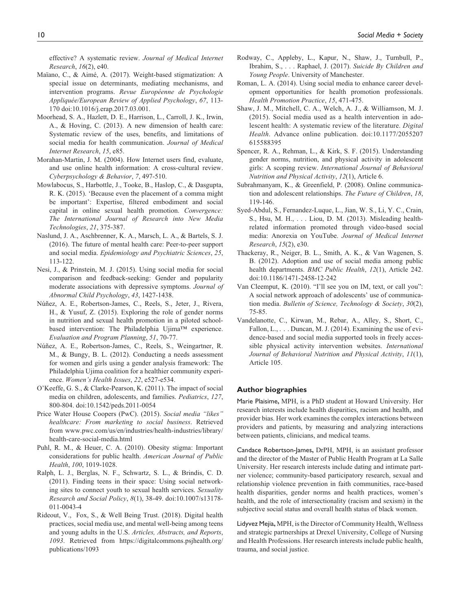effective? A systematic review. *Journal of Medical Internet Research*, *16*(2), e40.

- Maïano, C., & Aimé, A. (2017). Weight-based stigmatization: A special issue on determinants, mediating mechanisms, and intervention programs. *Revue Européenne de Psychologie Appliquée/European Review of Applied Psychology*, *67*, 113- 170 doi:10.1016/j.erap.2017.03.001.
- Moorhead, S. A., Hazlett, D. E., Harrison, L., Carroll, J. K., Irwin, A., & Hoving, C. (2013). A new dimension of health care: Systematic review of the uses, benefits, and limitations of social media for health communication. *Journal of Medical Internet Research*, *15*, e85.
- Morahan-Martin, J. M. (2004). How Internet users find, evaluate, and use online health information: A cross-cultural review. *Cyberpsychology & Behavior*, *7*, 497-510.
- Mowlabocus, S., Harbottle, J., Tooke, B., Haslop, C., & Dasgupta, R. K. (2015). 'Because even the placement of a comma might be important': Expertise, filtered embodiment and social capital in online sexual health promotion. *Convergence: The International Journal of Research into New Media Technologies*, *21*, 375-387.
- Naslund, J. A., Aschbrenner, K. A., Marsch, L. A., & Bartels, S. J. (2016). The future of mental health care: Peer-to-peer support and social media. *Epidemiology and Psychiatric Sciences*, *25*, 113-122.
- Nesi, J., & Prinstein, M. J. (2015). Using social media for social comparison and feedback-seeking: Gender and popularity moderate associations with depressive symptoms. *Journal of Abnormal Child Psychology*, *43*, 1427-1438.
- Núñez, A. E., Robertson-James, C., Reels, S., Jeter, J., Rivera, H., & Yusuf, Z. (2015). Exploring the role of gender norms in nutrition and sexual health promotion in a piloted schoolbased intervention: The Philadelphia Ujima™ experience. *Evaluation and Program Planning*, *51*, 70-77.
- Núñez, A. E., Robertson-James, C., Reels, S., Weingartner, R. M., & Bungy, B. L. (2012). Conducting a needs assessment for women and girls using a gender analysis framework: The Philadelphia Ujima coalition for a healthier community experience. *Women's Health Issues*, *22*, e527-e534.
- O'Keeffe, G. S., & Clarke-Pearson, K. (2011). The impact of social media on children, adolescents, and families. *Pediatrics*, *127*, 800-804. doi:10.1542/peds.2011-0054
- Price Water House Coopers (PwC). (2015). *Social media "likes" healthcare: From marketing to social business*. Retrieved from [www.pwc.com/us/en/industries/health-industries/library/](www.pwc.com/us/en/industries/health-industries/library/health-care-social-media.html) [health-care-social-media.html](www.pwc.com/us/en/industries/health-industries/library/health-care-social-media.html)
- Puhl, R. M., & Heuer, C. A. (2010). Obesity stigma: Important considerations for public health. *American Journal of Public Health*, *100*, 1019-1028.
- Ralph, L. J., Berglas, N. F., Schwartz, S. L., & Brindis, C. D. (2011). Finding teens in their space: Using social networking sites to connect youth to sexual health services. *Sexuality Research and Social Policy*, *8*(1), 38-49. doi:10.1007/s13178- 011-0043-4
- Rideout, V., Fox, S., & Well Being Trust. (2018). Digital health practices, social media use, and mental well-being among teens and young adults in the U.S. *Articles, Abstracts, and Reports*, *1093*. Retrieved from [https://digitalcommons.psjhealth.org/](https://digitalcommons.psjhealth.org/publications/1093) [publications/1093](https://digitalcommons.psjhealth.org/publications/1093)
- Rodway, C., Appleby, L., Kapur, N., Shaw, J., Turnbull, P., Ibrahim, S., . . . Raphael, J. (2017). *Suicide By Children and Young People*. University of Manchester.
- Roman, L. A. (2014). Using social media to enhance career development opportunities for health promotion professionals. *Health Promotion Practice*, *15*, 471-475.
- Shaw, J. M., Mitchell, C. A., Welch, A. J., & Williamson, M. J. (2015). Social media used as a health intervention in adolescent health: A systematic review of the literature. *Digital Health*. Advance online publication. doi:10.1177/2055207 615588395
- Spencer, R. A., Rehman, L., & Kirk, S. F. (2015). Understanding gender norms, nutrition, and physical activity in adolescent girls: A scoping review. *International Journal of Behavioral Nutrition and Physical Activity*, *12*(1), Article 6.
- Subrahmanyam, K., & Greenfield, P. (2008). Online communication and adolescent relationships. *The Future of Children*, *18*, 119-146.
- Syed-Abdul, S., Fernandez-Luque, L., Jian, W. S., Li, Y. C., Crain, S., Hsu, M. H., . . . Liou, D. M. (2013). Misleading healthrelated information promoted through video-based social media: Anorexia on YouTube. *Journal of Medical Internet Research*, *15*(2), e30.
- Thackeray, R., Neiger, B. L., Smith, A. K., & Van Wagenen, S. B. (2012). Adoption and use of social media among public health departments. *BMC Public Health*, *12*(1), Article 242. doi:10.1186/1471-2458-12-242
- Van Cleemput, K. (2010). "I'll see you on IM, text, or call you": A social network approach of adolescents' use of communication media. *Bulletin of Science, Technology & Society*, *30*(2), 75-85.
- Vandelanotte, C., Kirwan, M., Rebar, A., Alley, S., Short, C., Fallon, L., . . . Duncan, M. J. (2014). Examining the use of evidence-based and social media supported tools in freely accessible physical activity intervention websites. *International Journal of Behavioral Nutrition and Physical Activity*, *11*(1), Article 105.

#### **Author biographies**

Marie Plaisime**,** MPH, is a PhD student at Howard University. Her research interests include health disparities, racism and health, and provider bias. Her work examines the complex interactions between providers and patients, by measuring and analyzing interactions between patients, clinicians, and medical teams.

Candace Robertson-James**,** DrPH, MPH, is an assistant professor and the director of the Master of Public Health Program at La Salle University. Her research interests include dating and intimate partner violence; community-based participatory research, sexual and relationship violence prevention in faith communities, race-based health disparities, gender norms and health practices, women's health, and the role of intersectionality (racism and sexism) in the subjective social status and overall health status of black women.

Lidyvez Mejia**,** MPH, is the Director of Community Health, Wellness and strategic partnerships at Drexel University, College of Nursing and Health Professions. Her research interests include public health, trauma, and social justice.